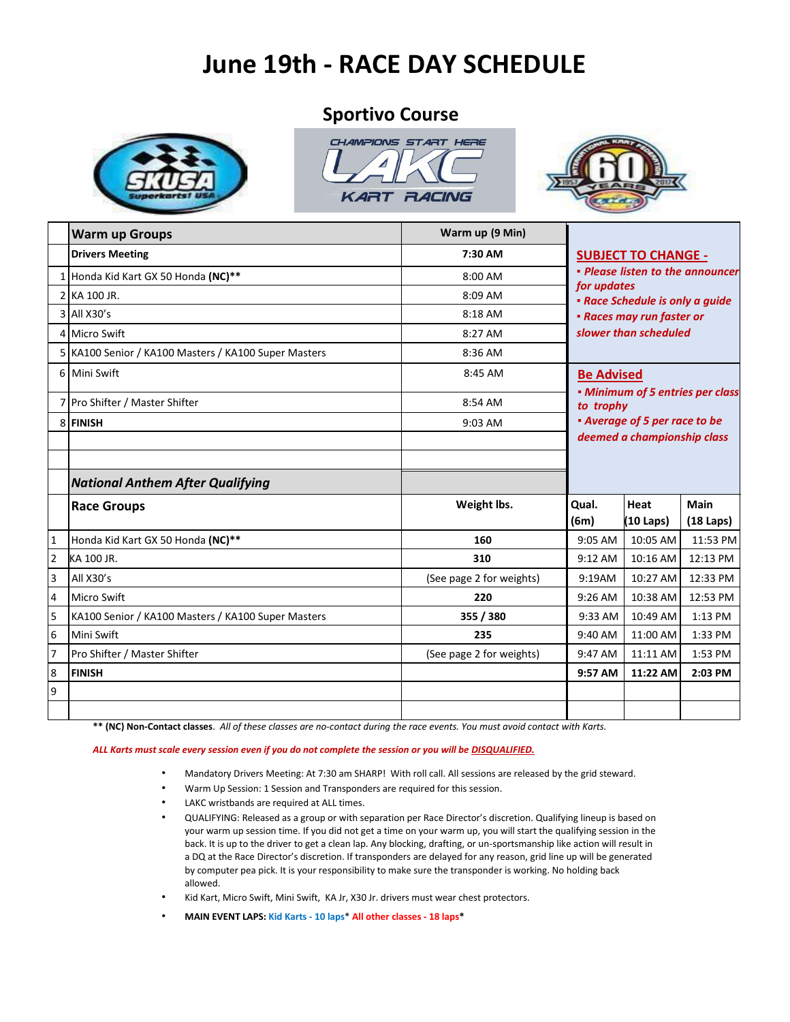# **June 19th - RACE DAY SCHEDULE**

### **Sportivo Course**







|   | <b>Warm up Groups</b>                                | Warm up (9 Min)          |                                                                                                                                                                                                                                                                               |                             |             |
|---|------------------------------------------------------|--------------------------|-------------------------------------------------------------------------------------------------------------------------------------------------------------------------------------------------------------------------------------------------------------------------------|-----------------------------|-------------|
|   | <b>Drivers Meeting</b>                               | 7:30 AM                  | <b>SUBJECT TO CHANGE -</b><br>• Please listen to the announcer<br>for updates<br>• Race Schedule is only a guide<br>• Races may run faster or<br>slower than scheduled<br><b>Be Advised</b><br>• Minimum of 5 entries per class<br>to trophy<br>• Average of 5 per race to be |                             |             |
|   | 1 Honda Kid Kart GX 50 Honda (NC)**                  | 8:00 AM                  |                                                                                                                                                                                                                                                                               |                             |             |
|   | 2 KA 100 JR.                                         | 8:09 AM                  |                                                                                                                                                                                                                                                                               |                             |             |
|   | 3 All X30's                                          | 8:18 AM                  |                                                                                                                                                                                                                                                                               |                             |             |
|   | 4 Micro Swift                                        | 8:27 AM                  |                                                                                                                                                                                                                                                                               |                             |             |
|   | 5 KA100 Senior / KA100 Masters / KA100 Super Masters | 8:36 AM                  |                                                                                                                                                                                                                                                                               |                             |             |
|   | 6 Mini Swift                                         | 8:45 AM                  |                                                                                                                                                                                                                                                                               |                             |             |
|   | 7 Pro Shifter / Master Shifter                       | 8:54 AM                  |                                                                                                                                                                                                                                                                               |                             |             |
|   | 8 FINISH                                             | 9:03 AM                  |                                                                                                                                                                                                                                                                               |                             |             |
|   |                                                      |                          |                                                                                                                                                                                                                                                                               | deemed a championship class |             |
|   | <b>National Anthem After Qualifying</b>              |                          |                                                                                                                                                                                                                                                                               |                             |             |
|   |                                                      |                          | Qual.                                                                                                                                                                                                                                                                         | Heat                        | Main        |
|   | <b>Race Groups</b>                                   | Weight lbs.              | (6m)                                                                                                                                                                                                                                                                          | (10 Laps)                   | $(18$ Laps) |
| 1 | Honda Kid Kart GX 50 Honda (NC)**                    | 160                      | 9:05 AM                                                                                                                                                                                                                                                                       | 10:05 AM                    | 11:53 PM    |
| 2 | KA 100 JR.                                           | 310                      | 9:12 AM                                                                                                                                                                                                                                                                       | 10:16 AM                    | 12:13 PM    |
| 3 | All X30's                                            | (See page 2 for weights) | 9:19AM                                                                                                                                                                                                                                                                        | 10:27 AM                    | 12:33 PM    |
| 4 | <b>Micro Swift</b>                                   | 220                      | 9:26 AM                                                                                                                                                                                                                                                                       | 10:38 AM                    | 12:53 PM    |
| 5 | KA100 Senior / KA100 Masters / KA100 Super Masters   | 355 / 380                | 9:33 AM                                                                                                                                                                                                                                                                       | 10:49 AM                    | 1:13 PM     |
| 6 | Mini Swift                                           | 235                      | 9:40 AM                                                                                                                                                                                                                                                                       | 11:00 AM                    | 1:33 PM     |
|   | Pro Shifter / Master Shifter                         | (See page 2 for weights) | 9:47 AM                                                                                                                                                                                                                                                                       | 11:11 AM                    | 1:53 PM     |
| 8 | <b>FINISH</b>                                        |                          | 9:57 AM                                                                                                                                                                                                                                                                       | 11:22 AM                    | 2:03 PM     |
| 9 |                                                      |                          |                                                                                                                                                                                                                                                                               |                             |             |
|   |                                                      |                          |                                                                                                                                                                                                                                                                               |                             |             |

**\*\* (NC) Non-Contact classes**. *All of these classes are no-contact during the race events. You must avoid contact with Karts.*

#### *ALL Karts must scale every session even if you do not complete the session or you will be DISQUALIFIED.*

- Mandatory Drivers Meeting: At 7:30 am SHARP! With roll call. All sessions are released by the grid steward.
- Warm Up Session: 1 Session and Transponders are required for this session.
- LAKC wristbands are required at ALL times.
- QUALIFYING: Released as a group or with separation per Race Director's discretion. Qualifying lineup is based on your warm up session time. If you did not get a time on your warm up, you will start the qualifying session in the back. It is up to the driver to get a clean lap. Any blocking, drafting, or un-sportsmanship like action will result in a DQ at the Race Director's discretion. If transponders are delayed for any reason, grid line up will be generated by computer pea pick. It is your responsibility to make sure the transponder is working. No holding back allowed.
- Kid Kart, Micro Swift, Mini Swift, KA Jr, X30 Jr. drivers must wear chest protectors.
- **MAIN EVENT LAPS: Kid Karts - 10 laps**\* **All other classes - 18 laps\***